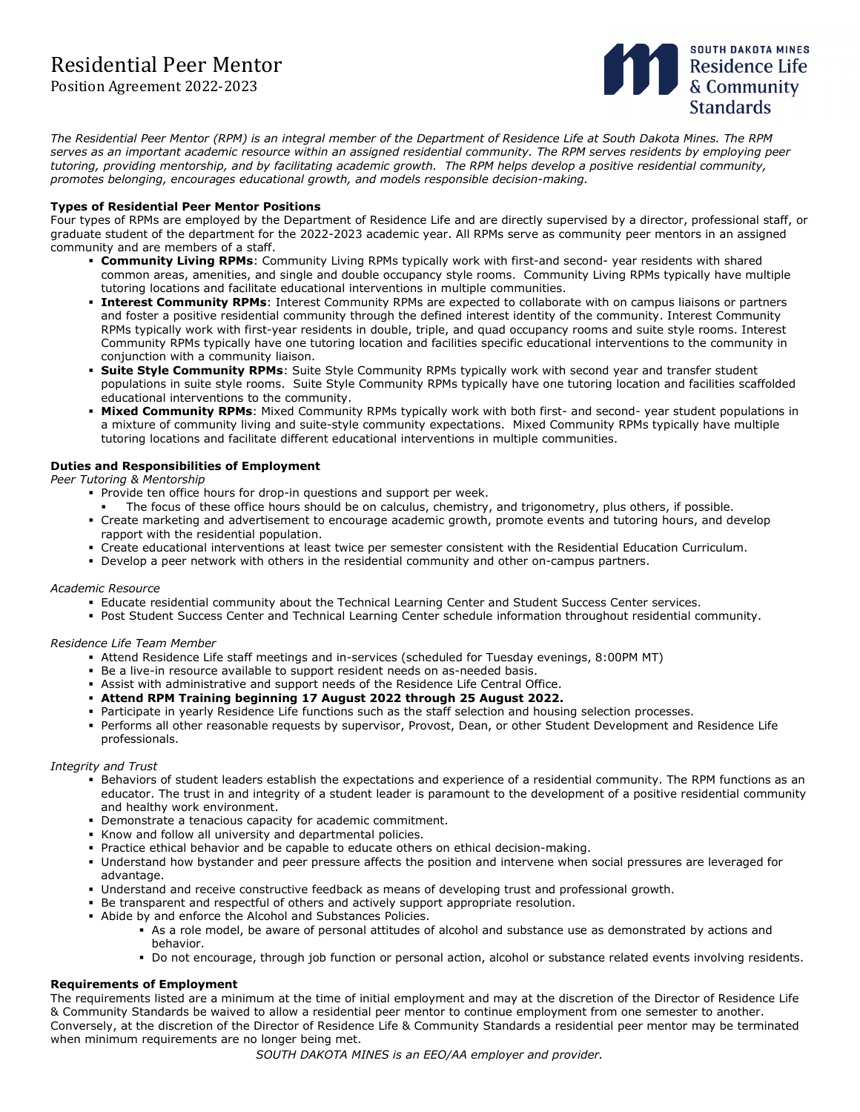# Residential Peer Mentor

## Position Agreement 2022-2023



*The Residential Peer Mentor (RPM) is an integral member of the Department of Residence Life at South Dakota Mines. The RPM serves as an important academic resource within an assigned residential community. The RPM serves residents by employing peer tutoring, providing mentorship, and by facilitating academic growth. The RPM helps develop a positive residential community, promotes belonging, encourages educational growth, and models responsible decision-making.*

### **Types of Residential Peer Mentor Positions**

Four types of RPMs are employed by the Department of Residence Life and are directly supervised by a director, professional staff, or graduate student of the department for the 2022-2023 academic year. All RPMs serve as community peer mentors in an assigned community and are members of a staff.

- **Community Living RPMs**: Community Living RPMs typically work with first-and second- year residents with shared common areas, amenities, and single and double occupancy style rooms. Community Living RPMs typically have multiple tutoring locations and facilitate educational interventions in multiple communities.
- **Interest Community RPMs**: Interest Community RPMs are expected to collaborate with on campus liaisons or partners and foster a positive residential community through the defined interest identity of the community. Interest Community RPMs typically work with first-year residents in double, triple, and quad occupancy rooms and suite style rooms. Interest Community RPMs typically have one tutoring location and facilities specific educational interventions to the community in conjunction with a community liaison.
- **Suite Style Community RPMs**: Suite Style Community RPMs typically work with second year and transfer student populations in suite style rooms. Suite Style Community RPMs typically have one tutoring location and facilities scaffolded educational interventions to the community.
- **Mixed Community RPMs**: Mixed Community RPMs typically work with both first- and second- year student populations in a mixture of community living and suite-style community expectations. Mixed Community RPMs typically have multiple tutoring locations and facilitate different educational interventions in multiple communities.

## **Duties and Responsibilities of Employment**

*Peer Tutoring & Mentorship*

- **Provide ten office hours for drop-in questions and support per week.**
- The focus of these office hours should be on calculus, chemistry, and trigonometry, plus others, if possible.
- Create marketing and advertisement to encourage academic growth, promote events and tutoring hours, and develop rapport with the residential population.
- Create educational interventions at least twice per semester consistent with the Residential Education Curriculum.
- Develop a peer network with others in the residential community and other on-campus partners.

### *Academic Resource*

- Educate residential community about the Technical Learning Center and Student Success Center services.
- Post Student Success Center and Technical Learning Center schedule information throughout residential community.

### *Residence Life Team Member*

- Attend Residence Life staff meetings and in-services (scheduled for Tuesday evenings, 8:00PM MT)
- Be a live-in resource available to support resident needs on as-needed basis.
- Assist with administrative and support needs of the Residence Life Central Office.
- **Attend RPM Training beginning 17 August 2022 through 25 August 2022.**
- Participate in yearly Residence Life functions such as the staff selection and housing selection processes.
- Performs all other reasonable requests by supervisor, Provost, Dean, or other Student Development and Residence Life professionals.

#### *Integrity and Trust*

- Behaviors of student leaders establish the expectations and experience of a residential community. The RPM functions as an educator. The trust in and integrity of a student leader is paramount to the development of a positive residential community and healthy work environment.
- Demonstrate a tenacious capacity for academic commitment.
- Know and follow all university and departmental policies.
- Practice ethical behavior and be capable to educate others on ethical decision-making.
- Understand how bystander and peer pressure affects the position and intervene when social pressures are leveraged for advantage.
- Understand and receive constructive feedback as means of developing trust and professional growth.
- Be transparent and respectful of others and actively support appropriate resolution.
- Abide by and enforce the Alcohol and Substances Policies.
	- As a role model, be aware of personal attitudes of alcohol and substance use as demonstrated by actions and behavior.
	- Do not encourage, through job function or personal action, alcohol or substance related events involving residents.

### **Requirements of Employment**

The requirements listed are a minimum at the time of initial employment and may at the discretion of the Director of Residence Life & Community Standards be waived to allow a residential peer mentor to continue employment from one semester to another. Conversely, at the discretion of the Director of Residence Life & Community Standards a residential peer mentor may be terminated when minimum requirements are no longer being met.

*SOUTH DAKOTA MINES is an EEO/AA employer and provider.*